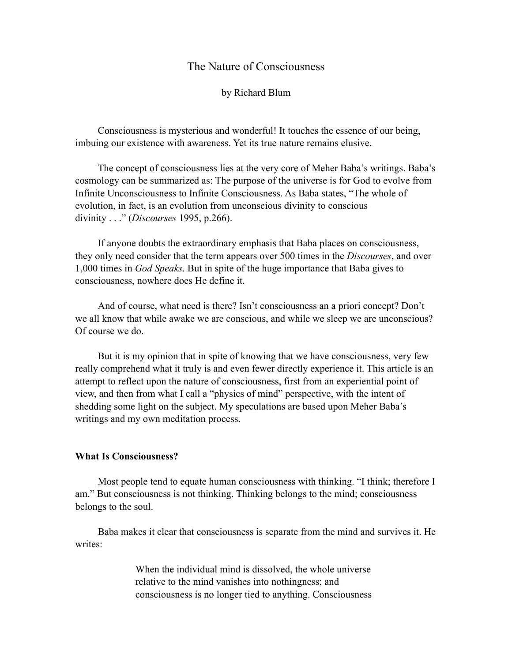# The Nature of Consciousness

by Richard Blum

Consciousness is mysterious and wonderful! It touches the essence of our being, imbuing our existence with awareness. Yet its true nature remains elusive.

The concept of consciousness lies at the very core of Meher Baba's writings. Baba's cosmology can be summarized as: The purpose of the universe is for God to evolve from Infinite Unconsciousness to Infinite Consciousness. As Baba states, "The whole of evolution, in fact, is an evolution from unconscious divinity to conscious divinity . . ." (*Discourses* 1995, p.266).

If anyone doubts the extraordinary emphasis that Baba places on consciousness, they only need consider that the term appears over 500 times in the *Discourses*, and over 1,000 times in *God Speaks*. But in spite of the huge importance that Baba gives to consciousness, nowhere does He define it.

And of course, what need is there? Isn't consciousness an a priori concept? Don't we all know that while awake we are conscious, and while we sleep we are unconscious? Of course we do.

But it is my opinion that in spite of knowing that we have consciousness, very few really comprehend what it truly is and even fewer directly experience it. This article is an attempt to reflect upon the nature of consciousness, first from an experiential point of view, and then from what I call a "physics of mind" perspective, with the intent of shedding some light on the subject. My speculations are based upon Meher Baba's writings and my own meditation process.

# **What Is Consciousness?**

Most people tend to equate human consciousness with thinking. "I think; therefore I am." But consciousness is not thinking. Thinking belongs to the mind; consciousness belongs to the soul.

Baba makes it clear that consciousness is separate from the mind and survives it. He writes<sup>.</sup>

> When the individual mind is dissolved, the whole universe relative to the mind vanishes into nothingness; and consciousness is no longer tied to anything. Consciousness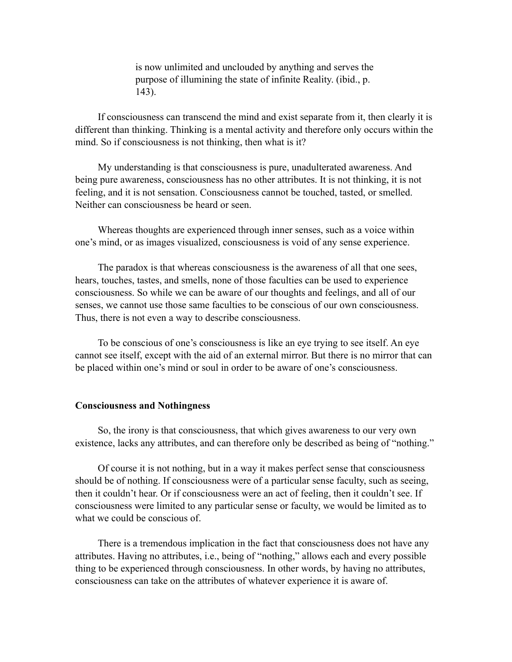is now unlimited and unclouded by anything and serves the purpose of illumining the state of infinite Reality. (ibid., p. 143).

If consciousness can transcend the mind and exist separate from it, then clearly it is different than thinking. Thinking is a mental activity and therefore only occurs within the mind. So if consciousness is not thinking, then what is it?

My understanding is that consciousness is pure, unadulterated awareness. And being pure awareness, consciousness has no other attributes. It is not thinking, it is not feeling, and it is not sensation. Consciousness cannot be touched, tasted, or smelled. Neither can consciousness be heard or seen.

Whereas thoughts are experienced through inner senses, such as a voice within one's mind, or as images visualized, consciousness is void of any sense experience.

The paradox is that whereas consciousness is the awareness of all that one sees, hears, touches, tastes, and smells, none of those faculties can be used to experience consciousness. So while we can be aware of our thoughts and feelings, and all of our senses, we cannot use those same faculties to be conscious of our own consciousness. Thus, there is not even a way to describe consciousness.

To be conscious of one's consciousness is like an eye trying to see itself. An eye cannot see itself, except with the aid of an external mirror. But there is no mirror that can be placed within one's mind or soul in order to be aware of one's consciousness.

### **Consciousness and Nothingness**

So, the irony is that consciousness, that which gives awareness to our very own existence, lacks any attributes, and can therefore only be described as being of "nothing."

Of course it is not nothing, but in a way it makes perfect sense that consciousness should be of nothing. If consciousness were of a particular sense faculty, such as seeing, then it couldn't hear. Or if consciousness were an act of feeling, then it couldn't see. If consciousness were limited to any particular sense or faculty, we would be limited as to what we could be conscious of.

There is a tremendous implication in the fact that consciousness does not have any attributes. Having no attributes, i.e., being of "nothing," allows each and every possible thing to be experienced through consciousness. In other words, by having no attributes, consciousness can take on the attributes of whatever experience it is aware of.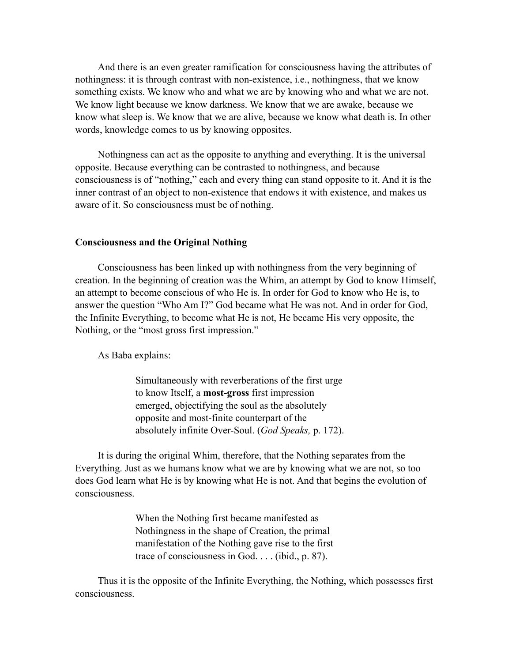And there is an even greater ramification for consciousness having the attributes of nothingness: it is through contrast with non-existence, i.e., nothingness, that we know something exists. We know who and what we are by knowing who and what we are not. We know light because we know darkness. We know that we are awake, because we know what sleep is. We know that we are alive, because we know what death is. In other words, knowledge comes to us by knowing opposites.

Nothingness can act as the opposite to anything and everything. It is the universal opposite. Because everything can be contrasted to nothingness, and because consciousness is of "nothing," each and every thing can stand opposite to it. And it is the inner contrast of an object to non-existence that endows it with existence, and makes us aware of it. So consciousness must be of nothing.

#### **Consciousness and the Original Nothing**

Consciousness has been linked up with nothingness from the very beginning of creation. In the beginning of creation was the Whim, an attempt by God to know Himself, an attempt to become conscious of who He is. In order for God to know who He is, to answer the question "Who Am I?" God became what He was not. And in order for God, the Infinite Everything, to become what He is not, He became His very opposite, the Nothing, or the "most gross first impression."

As Baba explains:

Simultaneously with reverberations of the first urge to know Itself, a **most-gross** first impression emerged, objectifying the soul as the absolutely opposite and most-finite counterpart of the absolutely infinite Over-Soul. (*God Speaks,* p. 172).

It is during the original Whim, therefore, that the Nothing separates from the Everything. Just as we humans know what we are by knowing what we are not, so too does God learn what He is by knowing what He is not. And that begins the evolution of consciousness.

> When the Nothing first became manifested as Nothingness in the shape of Creation, the primal manifestation of the Nothing gave rise to the first trace of consciousness in God. . . . (ibid., p. 87).

Thus it is the opposite of the Infinite Everything, the Nothing, which possesses first consciousness.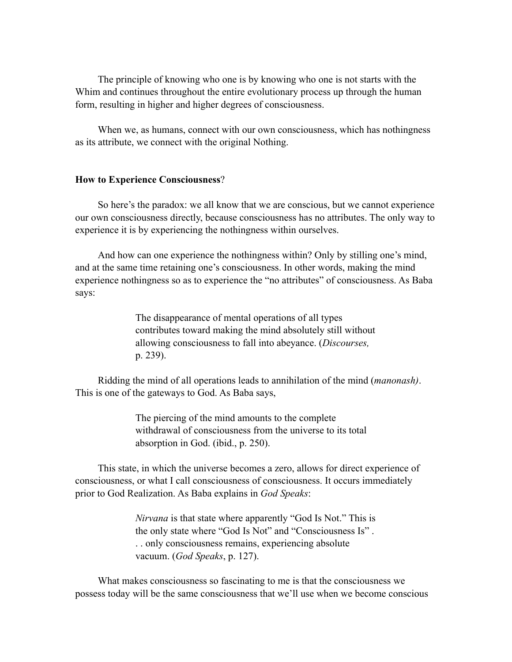The principle of knowing who one is by knowing who one is not starts with the Whim and continues throughout the entire evolutionary process up through the human form, resulting in higher and higher degrees of consciousness.

When we, as humans, connect with our own consciousness, which has nothingness as its attribute, we connect with the original Nothing.

### **How to Experience Consciousness**?

So here's the paradox: we all know that we are conscious, but we cannot experience our own consciousness directly, because consciousness has no attributes. The only way to experience it is by experiencing the nothingness within ourselves.

And how can one experience the nothingness within? Only by stilling one's mind, and at the same time retaining one's consciousness. In other words, making the mind experience nothingness so as to experience the "no attributes" of consciousness. As Baba says:

> The disappearance of mental operations of all types contributes toward making the mind absolutely still without allowing consciousness to fall into abeyance. (*Discourses,*  p. 239).

Ridding the mind of all operations leads to annihilation of the mind (*manonash)*. This is one of the gateways to God. As Baba says,

> The piercing of the mind amounts to the complete withdrawal of consciousness from the universe to its total absorption in God. (ibid., p. 250).

This state, in which the universe becomes a zero, allows for direct experience of consciousness, or what I call consciousness of consciousness. It occurs immediately prior to God Realization. As Baba explains in *God Speaks*:

> *Nirvana* is that state where apparently "God Is Not." This is the only state where "God Is Not" and "Consciousness Is" . . . only consciousness remains, experiencing absolute vacuum. (*God Speaks*, p. 127).

What makes consciousness so fascinating to me is that the consciousness we possess today will be the same consciousness that we'll use when we become conscious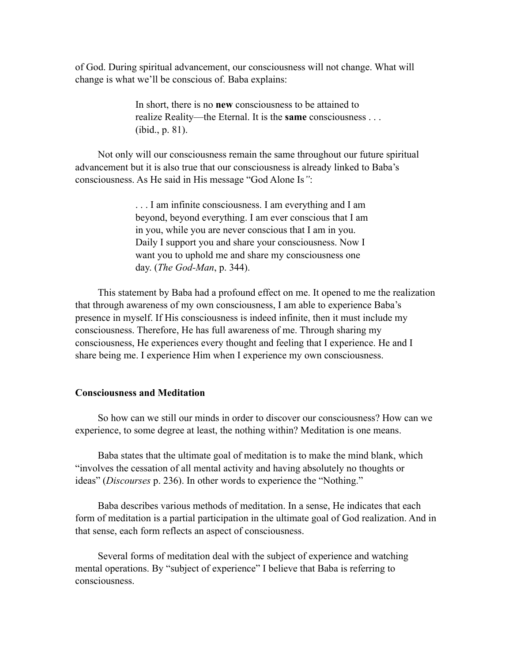of God. During spiritual advancement, our consciousness will not change. What will change is what we'll be conscious of. Baba explains:

> In short, there is no **new** consciousness to be attained to realize Reality—the Eternal. It is the **same** consciousness . . . (ibid., p. 81).

Not only will our consciousness remain the same throughout our future spiritual advancement but it is also true that our consciousness is already linked to Baba's consciousness. As He said in His message "God Alone Is*"*:

> . . . I am infinite consciousness. I am everything and I am beyond, beyond everything. I am ever conscious that I am in you, while you are never conscious that I am in you. Daily I support you and share your consciousness. Now I want you to uphold me and share my consciousness one day. (*The God-Man*, p. 344).

This statement by Baba had a profound effect on me. It opened to me the realization that through awareness of my own consciousness, I am able to experience Baba's presence in myself. If His consciousness is indeed infinite, then it must include my consciousness. Therefore, He has full awareness of me. Through sharing my consciousness, He experiences every thought and feeling that I experience. He and I share being me. I experience Him when I experience my own consciousness.

# **Consciousness and Meditation**

So how can we still our minds in order to discover our consciousness? How can we experience, to some degree at least, the nothing within? Meditation is one means.

Baba states that the ultimate goal of meditation is to make the mind blank, which "involves the cessation of all mental activity and having absolutely no thoughts or ideas" (*Discourses* p. 236). In other words to experience the "Nothing."

Baba describes various methods of meditation. In a sense, He indicates that each form of meditation is a partial participation in the ultimate goal of God realization. And in that sense, each form reflects an aspect of consciousness.

Several forms of meditation deal with the subject of experience and watching mental operations. By "subject of experience" I believe that Baba is referring to consciousness.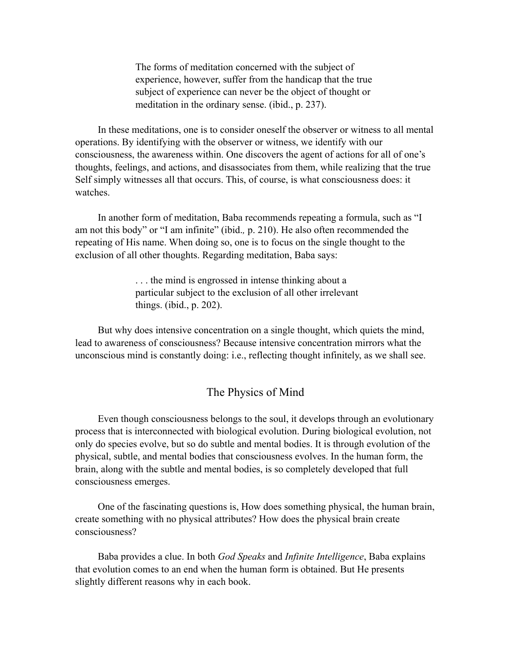The forms of meditation concerned with the subject of experience, however, suffer from the handicap that the true subject of experience can never be the object of thought or meditation in the ordinary sense. (ibid., p. 237).

In these meditations, one is to consider oneself the observer or witness to all mental operations. By identifying with the observer or witness, we identify with our consciousness, the awareness within. One discovers the agent of actions for all of one's thoughts, feelings, and actions, and disassociates from them, while realizing that the true Self simply witnesses all that occurs. This, of course, is what consciousness does: it watches.

In another form of meditation, Baba recommends repeating a formula, such as "I am not this body" or "I am infinite" (ibid.*,* p. 210). He also often recommended the repeating of His name. When doing so, one is to focus on the single thought to the exclusion of all other thoughts. Regarding meditation, Baba says:

> . . . the mind is engrossed in intense thinking about a particular subject to the exclusion of all other irrelevant things. (ibid., p. 202).

But why does intensive concentration on a single thought, which quiets the mind, lead to awareness of consciousness? Because intensive concentration mirrors what the unconscious mind is constantly doing: i.e., reflecting thought infinitely, as we shall see.

# The Physics of Mind

Even though consciousness belongs to the soul, it develops through an evolutionary process that is interconnected with biological evolution. During biological evolution, not only do species evolve, but so do subtle and mental bodies. It is through evolution of the physical, subtle, and mental bodies that consciousness evolves. In the human form, the brain, along with the subtle and mental bodies, is so completely developed that full consciousness emerges.

One of the fascinating questions is, How does something physical, the human brain, create something with no physical attributes? How does the physical brain create consciousness?

Baba provides a clue. In both *God Speaks* and *Infinite Intelligence*, Baba explains that evolution comes to an end when the human form is obtained. But He presents slightly different reasons why in each book.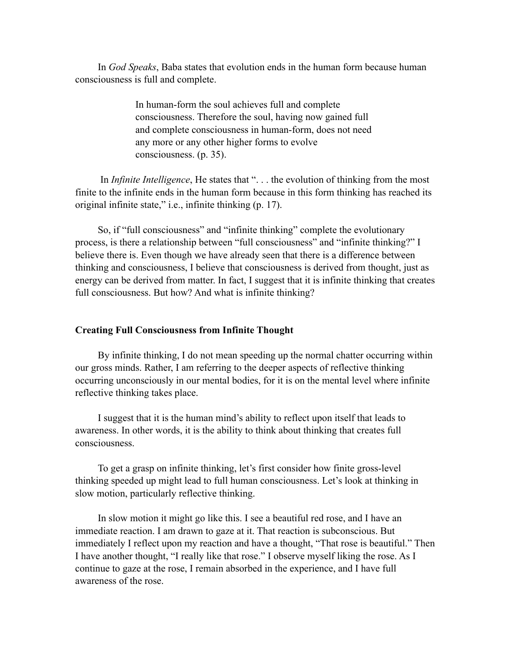In *God Speaks*, Baba states that evolution ends in the human form because human consciousness is full and complete.

> In human-form the soul achieves full and complete consciousness. Therefore the soul, having now gained full and complete consciousness in human-form, does not need any more or any other higher forms to evolve consciousness. (p. 35).

 In *Infinite Intelligence*, He states that ". . . the evolution of thinking from the most finite to the infinite ends in the human form because in this form thinking has reached its original infinite state," i.e., infinite thinking (p. 17).

So, if "full consciousness" and "infinite thinking" complete the evolutionary process, is there a relationship between "full consciousness" and "infinite thinking?" I believe there is. Even though we have already seen that there is a difference between thinking and consciousness, I believe that consciousness is derived from thought, just as energy can be derived from matter. In fact, I suggest that it is infinite thinking that creates full consciousness. But how? And what is infinite thinking?

### **Creating Full Consciousness from Infinite Thought**

By infinite thinking, I do not mean speeding up the normal chatter occurring within our gross minds. Rather, I am referring to the deeper aspects of reflective thinking occurring unconsciously in our mental bodies, for it is on the mental level where infinite reflective thinking takes place.

I suggest that it is the human mind's ability to reflect upon itself that leads to awareness. In other words, it is the ability to think about thinking that creates full consciousness.

To get a grasp on infinite thinking, let's first consider how finite gross-level thinking speeded up might lead to full human consciousness. Let's look at thinking in slow motion, particularly reflective thinking.

In slow motion it might go like this. I see a beautiful red rose, and I have an immediate reaction. I am drawn to gaze at it. That reaction is subconscious. But immediately I reflect upon my reaction and have a thought, "That rose is beautiful." Then I have another thought, "I really like that rose." I observe myself liking the rose. As I continue to gaze at the rose, I remain absorbed in the experience, and I have full awareness of the rose.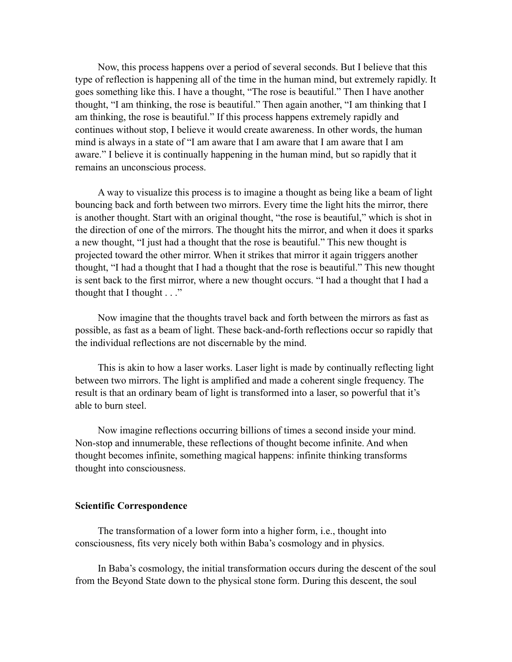Now, this process happens over a period of several seconds. But I believe that this type of reflection is happening all of the time in the human mind, but extremely rapidly. It goes something like this. I have a thought, "The rose is beautiful." Then I have another thought, "I am thinking, the rose is beautiful." Then again another, "I am thinking that I am thinking, the rose is beautiful." If this process happens extremely rapidly and continues without stop, I believe it would create awareness. In other words, the human mind is always in a state of "I am aware that I am aware that I am aware that I am aware." I believe it is continually happening in the human mind, but so rapidly that it remains an unconscious process.

A way to visualize this process is to imagine a thought as being like a beam of light bouncing back and forth between two mirrors. Every time the light hits the mirror, there is another thought. Start with an original thought, "the rose is beautiful," which is shot in the direction of one of the mirrors. The thought hits the mirror, and when it does it sparks a new thought, "I just had a thought that the rose is beautiful." This new thought is projected toward the other mirror. When it strikes that mirror it again triggers another thought, "I had a thought that I had a thought that the rose is beautiful." This new thought is sent back to the first mirror, where a new thought occurs. "I had a thought that I had a thought that I thought  $\ldots$ "

Now imagine that the thoughts travel back and forth between the mirrors as fast as possible, as fast as a beam of light. These back-and-forth reflections occur so rapidly that the individual reflections are not discernable by the mind.

This is akin to how a laser works. Laser light is made by continually reflecting light between two mirrors. The light is amplified and made a coherent single frequency. The result is that an ordinary beam of light is transformed into a laser, so powerful that it's able to burn steel.

Now imagine reflections occurring billions of times a second inside your mind. Non-stop and innumerable, these reflections of thought become infinite. And when thought becomes infinite, something magical happens: infinite thinking transforms thought into consciousness.

# **Scientific Correspondence**

The transformation of a lower form into a higher form, i.e., thought into consciousness, fits very nicely both within Baba's cosmology and in physics.

In Baba's cosmology, the initial transformation occurs during the descent of the soul from the Beyond State down to the physical stone form. During this descent, the soul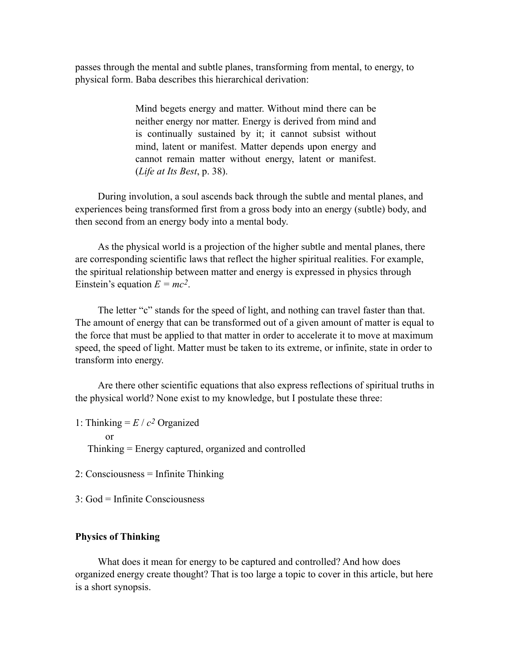passes through the mental and subtle planes, transforming from mental, to energy, to physical form. Baba describes this hierarchical derivation:

> Mind begets energy and matter. Without mind there can be neither energy nor matter. Energy is derived from mind and is continually sustained by it; it cannot subsist without mind, latent or manifest. Matter depends upon energy and cannot remain matter without energy, latent or manifest. (*Life at Its Best*, p. 38).

During involution, a soul ascends back through the subtle and mental planes, and experiences being transformed first from a gross body into an energy (subtle) body, and then second from an energy body into a mental body.

As the physical world is a projection of the higher subtle and mental planes, there are corresponding scientific laws that reflect the higher spiritual realities. For example, the spiritual relationship between matter and energy is expressed in physics through Einstein's equation  $E = mc^2$ .

The letter "c" stands for the speed of light, and nothing can travel faster than that. The amount of energy that can be transformed out of a given amount of matter is equal to the force that must be applied to that matter in order to accelerate it to move at maximum speed, the speed of light. Matter must be taken to its extreme, or infinite, state in order to transform into energy.

Are there other scientific equations that also express reflections of spiritual truths in the physical world? None exist to my knowledge, but I postulate these three:

1: Thinking  $= E / c^2$  Organized

or

Thinking = Energy captured, organized and controlled

- 2: Consciousness = Infinite Thinking
- $3 \cdot$  God = Infinite Consciousness

# **Physics of Thinking**

What does it mean for energy to be captured and controlled? And how does organized energy create thought? That is too large a topic to cover in this article, but here is a short synopsis.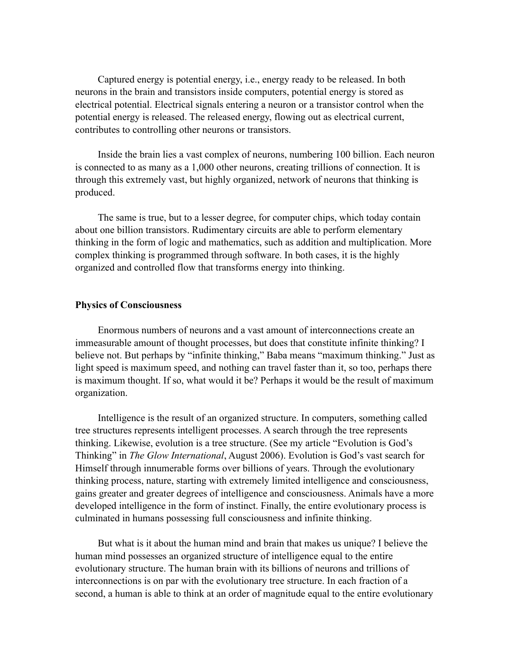Captured energy is potential energy, i.e., energy ready to be released. In both neurons in the brain and transistors inside computers, potential energy is stored as electrical potential. Electrical signals entering a neuron or a transistor control when the potential energy is released. The released energy, flowing out as electrical current, contributes to controlling other neurons or transistors.

Inside the brain lies a vast complex of neurons, numbering 100 billion. Each neuron is connected to as many as a 1,000 other neurons, creating trillions of connection. It is through this extremely vast, but highly organized, network of neurons that thinking is produced.

The same is true, but to a lesser degree, for computer chips, which today contain about one billion transistors. Rudimentary circuits are able to perform elementary thinking in the form of logic and mathematics, such as addition and multiplication. More complex thinking is programmed through software. In both cases, it is the highly organized and controlled flow that transforms energy into thinking.

### **Physics of Consciousness**

Enormous numbers of neurons and a vast amount of interconnections create an immeasurable amount of thought processes, but does that constitute infinite thinking? I believe not. But perhaps by "infinite thinking," Baba means "maximum thinking." Just as light speed is maximum speed, and nothing can travel faster than it, so too, perhaps there is maximum thought. If so, what would it be? Perhaps it would be the result of maximum organization.

Intelligence is the result of an organized structure. In computers, something called tree structures represents intelligent processes. A search through the tree represents thinking. Likewise, evolution is a tree structure. (See my article "Evolution is God's Thinking" in *The Glow International*, August 2006). Evolution is God's vast search for Himself through innumerable forms over billions of years. Through the evolutionary thinking process, nature, starting with extremely limited intelligence and consciousness, gains greater and greater degrees of intelligence and consciousness. Animals have a more developed intelligence in the form of instinct. Finally, the entire evolutionary process is culminated in humans possessing full consciousness and infinite thinking.

But what is it about the human mind and brain that makes us unique? I believe the human mind possesses an organized structure of intelligence equal to the entire evolutionary structure. The human brain with its billions of neurons and trillions of interconnections is on par with the evolutionary tree structure. In each fraction of a second, a human is able to think at an order of magnitude equal to the entire evolutionary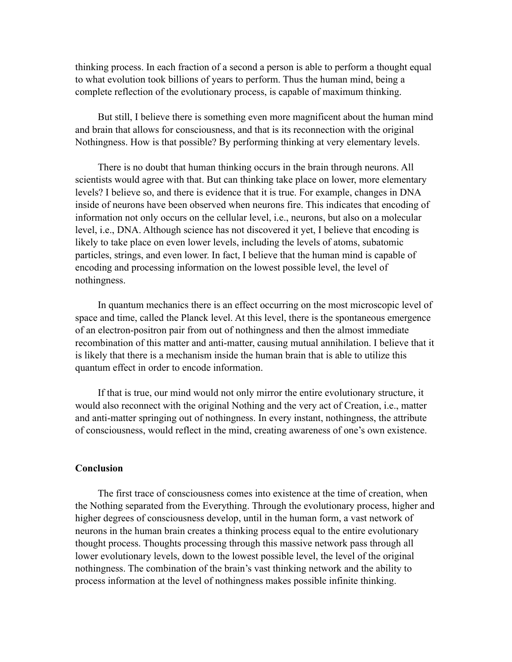thinking process. In each fraction of a second a person is able to perform a thought equal to what evolution took billions of years to perform. Thus the human mind, being a complete reflection of the evolutionary process, is capable of maximum thinking.

But still, I believe there is something even more magnificent about the human mind and brain that allows for consciousness, and that is its reconnection with the original Nothingness. How is that possible? By performing thinking at very elementary levels.

There is no doubt that human thinking occurs in the brain through neurons. All scientists would agree with that. But can thinking take place on lower, more elementary levels? I believe so, and there is evidence that it is true. For example, changes in DNA inside of neurons have been observed when neurons fire. This indicates that encoding of information not only occurs on the cellular level, i.e., neurons, but also on a molecular level, i.e., DNA. Although science has not discovered it yet, I believe that encoding is likely to take place on even lower levels, including the levels of atoms, subatomic particles, strings, and even lower. In fact, I believe that the human mind is capable of encoding and processing information on the lowest possible level, the level of nothingness.

In quantum mechanics there is an effect occurring on the most microscopic level of space and time, called the Planck level. At this level, there is the spontaneous emergence of an electron-positron pair from out of nothingness and then the almost immediate recombination of this matter and anti-matter, causing mutual annihilation. I believe that it is likely that there is a mechanism inside the human brain that is able to utilize this quantum effect in order to encode information.

If that is true, our mind would not only mirror the entire evolutionary structure, it would also reconnect with the original Nothing and the very act of Creation, i.e., matter and anti-matter springing out of nothingness. In every instant, nothingness, the attribute of consciousness, would reflect in the mind, creating awareness of one's own existence.

### **Conclusion**

The first trace of consciousness comes into existence at the time of creation, when the Nothing separated from the Everything. Through the evolutionary process, higher and higher degrees of consciousness develop, until in the human form, a vast network of neurons in the human brain creates a thinking process equal to the entire evolutionary thought process. Thoughts processing through this massive network pass through all lower evolutionary levels, down to the lowest possible level, the level of the original nothingness. The combination of the brain's vast thinking network and the ability to process information at the level of nothingness makes possible infinite thinking.